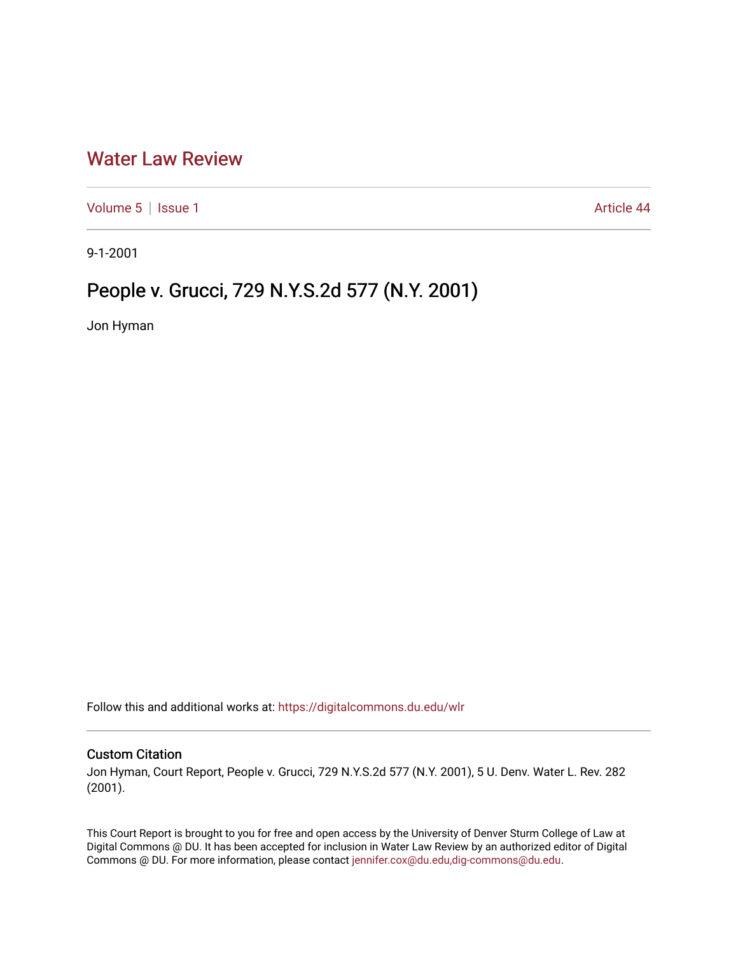## [Water Law Review](https://digitalcommons.du.edu/wlr)

[Volume 5](https://digitalcommons.du.edu/wlr/vol5) | [Issue 1](https://digitalcommons.du.edu/wlr/vol5/iss1) Article 44

9-1-2001

## People v. Grucci, 729 N.Y.S.2d 577 (N.Y. 2001)

Jon Hyman

Follow this and additional works at: [https://digitalcommons.du.edu/wlr](https://digitalcommons.du.edu/wlr?utm_source=digitalcommons.du.edu%2Fwlr%2Fvol5%2Fiss1%2F44&utm_medium=PDF&utm_campaign=PDFCoverPages) 

## Custom Citation

Jon Hyman, Court Report, People v. Grucci, 729 N.Y.S.2d 577 (N.Y. 2001), 5 U. Denv. Water L. Rev. 282 (2001).

This Court Report is brought to you for free and open access by the University of Denver Sturm College of Law at Digital Commons @ DU. It has been accepted for inclusion in Water Law Review by an authorized editor of Digital Commons @ DU. For more information, please contact [jennifer.cox@du.edu,dig-commons@du.edu.](mailto:jennifer.cox@du.edu,dig-commons@du.edu)